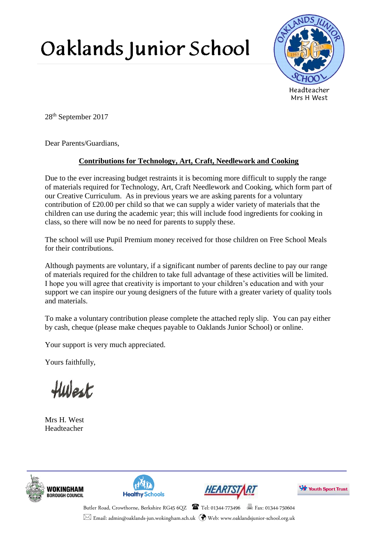## Oaklands Junior School



28th September 2017

Dear Parents/Guardians,

## **Contributions for Technology, Art, Craft, Needlework and Cooking**

Due to the ever increasing budget restraints it is becoming more difficult to supply the range of materials required for Technology, Art, Craft Needlework and Cooking, which form part of our Creative Curriculum. As in previous years we are asking parents for a voluntary contribution of £20.00 per child so that we can supply a wider variety of materials that the children can use during the academic year; this will include food ingredients for cooking in class, so there will now be no need for parents to supply these.

The school will use Pupil Premium money received for those children on Free School Meals for their contributions.

Although payments are voluntary, if a significant number of parents decline to pay our range of materials required for the children to take full advantage of these activities will be limited. I hope you will agree that creativity is important to your children's education and with your support we can inspire our young designers of the future with a greater variety of quality tools and materials.

To make a voluntary contribution please complete the attached reply slip. You can pay either by cash, cheque (please make cheques payable to Oaklands Junior School) or online.

Your support is very much appreciated.

Yours faithfully,

Hwest

Mrs H. West Headteacher